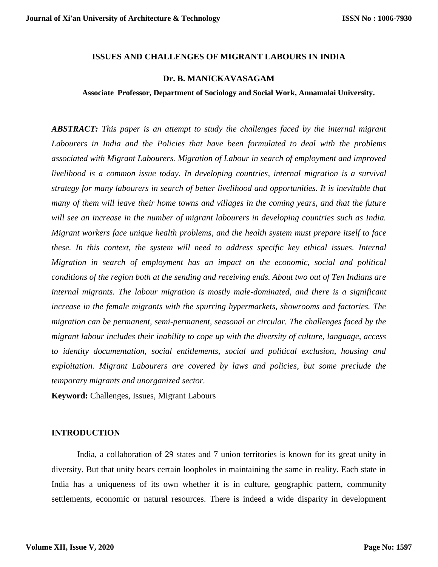# **ISSUES AND CHALLENGES OF MIGRANT LABOURS IN INDIA**

# **Dr. B. MANICKAVASAGAM**

**Associate Professor, Department of Sociology and Social Work, Annamalai University.**

*ABSTRACT: This paper is an attempt to study the challenges faced by the internal migrant Labourers in India and the Policies that have been formulated to deal with the problems associated with Migrant Labourers. Migration of Labour in search of employment and improved livelihood is a common issue today. In developing countries, internal migration is a survival strategy for many labourers in search of better livelihood and opportunities. It is inevitable that many of them will leave their home towns and villages in the coming years, and that the future will see an increase in the number of migrant labourers in developing countries such as India. Migrant workers face unique health problems, and the health system must prepare itself to face these. In this context, the system will need to address specific key ethical issues. Internal Migration in search of employment has an impact on the economic, social and political conditions of the region both at the sending and receiving ends. About two out of Ten Indians are internal migrants. The labour migration is mostly male-dominated, and there is a significant increase in the female migrants with the spurring hypermarkets, showrooms and factories. The migration can be permanent, semi-permanent, seasonal or circular. The challenges faced by the migrant labour includes their inability to cope up with the diversity of culture, language, access to identity documentation, social entitlements, social and political exclusion, housing and exploitation. Migrant Labourers are covered by laws and policies, but some preclude the temporary migrants and unorganized sector.*

**Keyword:** Challenges, Issues, Migrant Labours

## **INTRODUCTION**

India, a collaboration of 29 states and 7 union territories is known for its great unity in diversity. But that unity bears certain loopholes in maintaining the same in reality. Each state in India has a uniqueness of its own whether it is in culture, geographic pattern, community settlements, economic or natural resources. There is indeed a wide disparity in development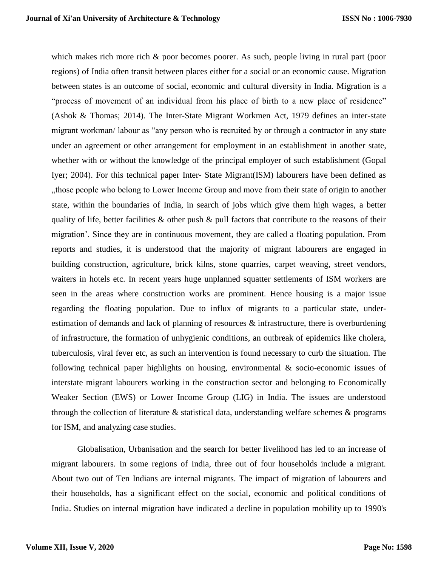which makes rich more rich & poor becomes poorer. As such, people living in rural part (poor regions) of India often transit between places either for a social or an economic cause. Migration between states is an outcome of social, economic and cultural diversity in India. Migration is a "process of movement of an individual from his place of birth to a new place of residence" (Ashok & Thomas; 2014). The Inter-State Migrant Workmen Act, 1979 defines an inter-state migrant workman/ labour as "any person who is recruited by or through a contractor in any state under an agreement or other arrangement for employment in an establishment in another state, whether with or without the knowledge of the principal employer of such establishment (Gopal Iyer; 2004). For this technical paper Inter- State Migrant(ISM) labourers have been defined as "those people who belong to Lower Income Group and move from their state of origin to another state, within the boundaries of India, in search of jobs which give them high wages, a better quality of life, better facilities  $\&$  other push  $\&$  pull factors that contribute to the reasons of their migration'. Since they are in continuous movement, they are called a floating population. From reports and studies, it is understood that the majority of migrant labourers are engaged in building construction, agriculture, brick kilns, stone quarries, carpet weaving, street vendors, waiters in hotels etc. In recent years huge unplanned squatter settlements of ISM workers are seen in the areas where construction works are prominent. Hence housing is a major issue regarding the floating population. Due to influx of migrants to a particular state, underestimation of demands and lack of planning of resources  $\&$  infrastructure, there is overburdening of infrastructure, the formation of unhygienic conditions, an outbreak of epidemics like cholera, tuberculosis, viral fever etc, as such an intervention is found necessary to curb the situation. The following technical paper highlights on housing, environmental & socio-economic issues of interstate migrant labourers working in the construction sector and belonging to Economically Weaker Section (EWS) or Lower Income Group (LIG) in India. The issues are understood through the collection of literature & statistical data, understanding welfare schemes & programs for ISM, and analyzing case studies.

Globalisation, Urbanisation and the search for better livelihood has led to an increase of migrant labourers. In some regions of India, three out of four households include a migrant. About two out of Ten Indians are internal migrants. The impact of migration of labourers and their households, has a significant effect on the social, economic and political conditions of India. Studies on internal migration have indicated a decline in population mobility up to 1990's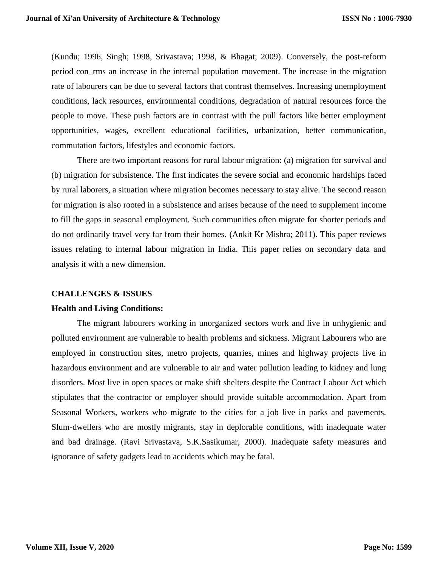(Kundu; 1996, Singh; 1998, Srivastava; 1998, & Bhagat; 2009). Conversely, the post-reform period con\_rms an increase in the internal population movement. The increase in the migration rate of labourers can be due to several factors that contrast themselves. Increasing unemployment conditions, lack resources, environmental conditions, degradation of natural resources force the people to move. These push factors are in contrast with the pull factors like better employment opportunities, wages, excellent educational facilities, urbanization, better communication, commutation factors, lifestyles and economic factors.

There are two important reasons for rural labour migration: (a) migration for survival and (b) migration for subsistence. The first indicates the severe social and economic hardships faced by rural laborers, a situation where migration becomes necessary to stay alive. The second reason for migration is also rooted in a subsistence and arises because of the need to supplement income to fill the gaps in seasonal employment. Such communities often migrate for shorter periods and do not ordinarily travel very far from their homes. (Ankit Kr Mishra; 2011). This paper reviews issues relating to internal labour migration in India. This paper relies on secondary data and analysis it with a new dimension.

# **CHALLENGES & ISSUES**

### **Health and Living Conditions:**

The migrant labourers working in unorganized sectors work and live in unhygienic and polluted environment are vulnerable to health problems and sickness. Migrant Labourers who are employed in construction sites, metro projects, quarries, mines and highway projects live in hazardous environment and are vulnerable to air and water pollution leading to kidney and lung disorders. Most live in open spaces or make shift shelters despite the Contract Labour Act which stipulates that the contractor or employer should provide suitable accommodation. Apart from Seasonal Workers, workers who migrate to the cities for a job live in parks and pavements. Slum-dwellers who are mostly migrants, stay in deplorable conditions, with inadequate water and bad drainage. (Ravi Srivastava, S.K.Sasikumar, 2000). Inadequate safety measures and ignorance of safety gadgets lead to accidents which may be fatal.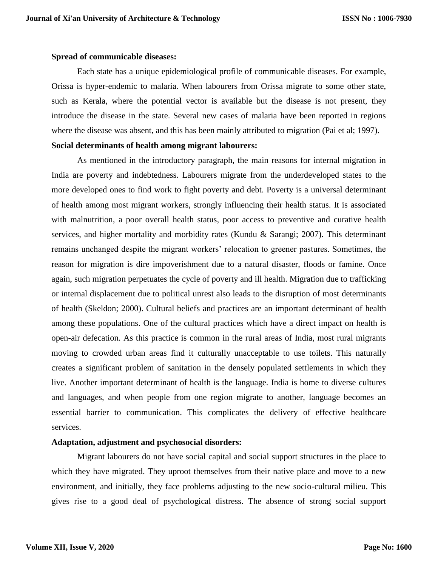### **Spread of communicable diseases:**

Each state has a unique epidemiological profile of communicable diseases. For example, Orissa is hyper-endemic to malaria. When labourers from Orissa migrate to some other state, such as Kerala, where the potential vector is available but the disease is not present, they introduce the disease in the state. Several new cases of malaria have been reported in regions where the disease was absent, and this has been mainly attributed to migration (Pai et al; 1997).

# **Social determinants of health among migrant labourers:**

As mentioned in the introductory paragraph, the main reasons for internal migration in India are poverty and indebtedness. Labourers migrate from the underdeveloped states to the more developed ones to find work to fight poverty and debt. Poverty is a universal determinant of health among most migrant workers, strongly influencing their health status. It is associated with malnutrition, a poor overall health status, poor access to preventive and curative health services, and higher mortality and morbidity rates (Kundu & Sarangi; 2007). This determinant remains unchanged despite the migrant workers' relocation to greener pastures. Sometimes, the reason for migration is dire impoverishment due to a natural disaster, floods or famine. Once again, such migration perpetuates the cycle of poverty and ill health. Migration due to trafficking or internal displacement due to political unrest also leads to the disruption of most determinants of health (Skeldon; 2000). Cultural beliefs and practices are an important determinant of health among these populations. One of the cultural practices which have a direct impact on health is open-air defecation. As this practice is common in the rural areas of India, most rural migrants moving to crowded urban areas find it culturally unacceptable to use toilets. This naturally creates a significant problem of sanitation in the densely populated settlements in which they live. Another important determinant of health is the language. India is home to diverse cultures and languages, and when people from one region migrate to another, language becomes an essential barrier to communication. This complicates the delivery of effective healthcare services.

# **Adaptation, adjustment and psychosocial disorders:**

Migrant labourers do not have social capital and social support structures in the place to which they have migrated. They uproot themselves from their native place and move to a new environment, and initially, they face problems adjusting to the new socio-cultural milieu. This gives rise to a good deal of psychological distress. The absence of strong social support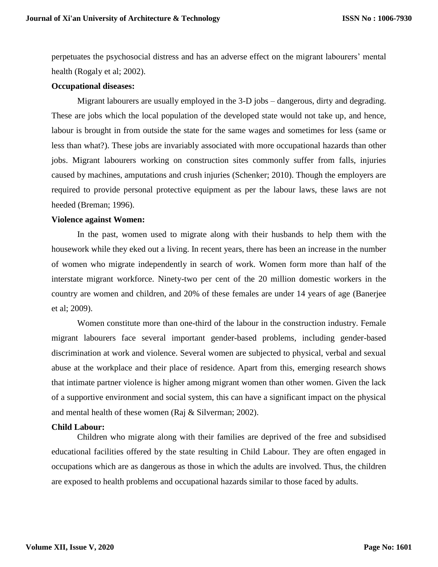perpetuates the psychosocial distress and has an adverse effect on the migrant labourers' mental health (Rogaly et al; 2002).

# **Occupational diseases:**

Migrant labourers are usually employed in the 3-D jobs – dangerous, dirty and degrading. These are jobs which the local population of the developed state would not take up, and hence, labour is brought in from outside the state for the same wages and sometimes for less (same or less than what?). These jobs are invariably associated with more occupational hazards than other jobs. Migrant labourers working on construction sites commonly suffer from falls, injuries caused by machines, amputations and crush injuries (Schenker; 2010). Though the employers are required to provide personal protective equipment as per the labour laws, these laws are not heeded (Breman; 1996).

#### **Violence against Women:**

In the past, women used to migrate along with their husbands to help them with the housework while they eked out a living. In recent years, there has been an increase in the number of women who migrate independently in search of work. Women form more than half of the interstate migrant workforce. Ninety-two per cent of the 20 million domestic workers in the country are women and children, and 20% of these females are under 14 years of age (Banerjee et al; 2009).

Women constitute more than one-third of the labour in the construction industry. Female migrant labourers face several important gender-based problems, including gender-based discrimination at work and violence. Several women are subjected to physical, verbal and sexual abuse at the workplace and their place of residence. Apart from this, emerging research shows that intimate partner violence is higher among migrant women than other women. Given the lack of a supportive environment and social system, this can have a significant impact on the physical and mental health of these women (Raj & Silverman; 2002).

### **Child Labour:**

Children who migrate along with their families are deprived of the free and subsidised educational facilities offered by the state resulting in Child Labour. They are often engaged in occupations which are as dangerous as those in which the adults are involved. Thus, the children are exposed to health problems and occupational hazards similar to those faced by adults.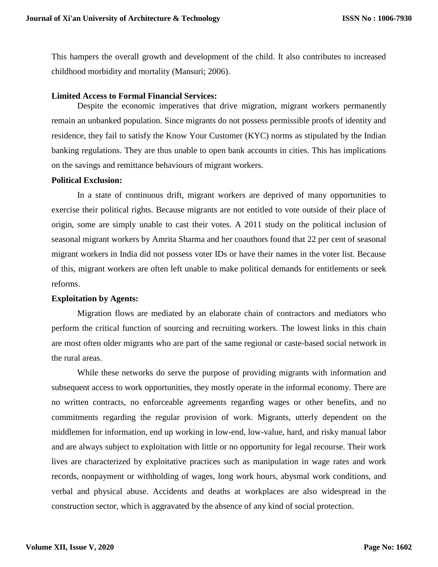This hampers the overall growth and development of the child. It also contributes to increased childhood morbidity and mortality (Mansuri; 2006).

### **Limited Access to Formal Financial Services:**

Despite the economic imperatives that drive migration, migrant workers permanently remain an unbanked population. Since migrants do not possess permissible proofs of identity and residence, they fail to satisfy the Know Your Customer (KYC) norms as stipulated by the Indian banking regulations. They are thus unable to open bank accounts in cities. This has implications on the savings and remittance behaviours of migrant workers.

### **Political Exclusion:**

In a state of continuous drift, migrant workers are deprived of many opportunities to exercise their political rights. Because migrants are not entitled to vote outside of their place of origin, some are simply unable to cast their votes. A 2011 study on the political inclusion of seasonal migrant workers by Amrita Sharma and her coauthors found that 22 per cent of seasonal migrant workers in India did not possess voter IDs or have their names in the voter list. Because of this, migrant workers are often left unable to make political demands for entitlements or seek reforms.

## **Exploitation by Agents:**

Migration flows are mediated by an elaborate chain of contractors and mediators who perform the critical function of sourcing and recruiting workers. The lowest links in this chain are most often older migrants who are part of the same regional or caste-based social network in the rural areas.

While these networks do serve the purpose of providing migrants with information and subsequent access to work opportunities, they mostly operate in the informal economy. There are no written contracts, no enforceable agreements regarding wages or other benefits, and no commitments regarding the regular provision of work. Migrants, utterly dependent on the middlemen for information, end up working in low-end, low-value, hard, and risky manual labor and are always subject to exploitation with little or no opportunity for legal recourse. Their work lives are characterized by exploitative practices such as manipulation in wage rates and work records, nonpayment or withholding of wages, long work hours, abysmal work conditions, and verbal and physical abuse. Accidents and deaths at workplaces are also widespread in the construction sector, which is aggravated by the absence of any kind of social protection.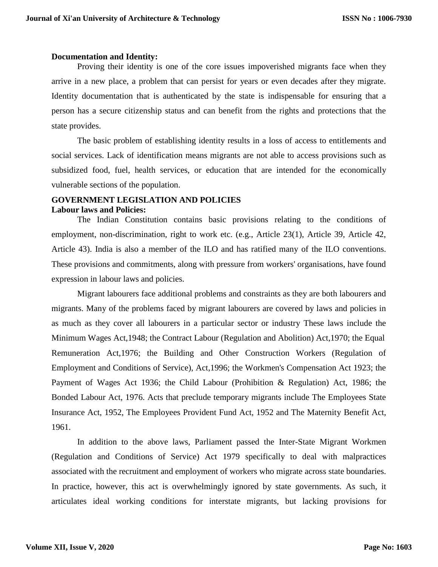# **Documentation and Identity:**

Proving their identity is one of the core issues impoverished migrants face when they arrive in a new place, a problem that can persist for years or even decades after they migrate. Identity documentation that is authenticated by the state is indispensable for ensuring that a person has a secure citizenship status and can benefit from the rights and protections that the state provides.

The basic problem of establishing identity results in a loss of access to entitlements and social services. Lack of identification means migrants are not able to access provisions such as subsidized food, fuel, health services, or education that are intended for the economically vulnerable sections of the population.

### **GOVERNMENT LEGISLATION AND POLICIES Labour laws and Policies:**

The Indian Constitution contains basic provisions relating to the conditions of employment, non-discrimination, right to work etc. (e.g., Article 23(1), Article 39, Article 42, Article 43). India is also a member of the ILO and has ratified many of the ILO conventions. These provisions and commitments, along with pressure from workers' organisations, have found expression in labour laws and policies.

Migrant labourers face additional problems and constraints as they are both labourers and migrants. Many of the problems faced by migrant labourers are covered by laws and policies in as much as they cover all labourers in a particular sector or industry These laws include the Minimum Wages Act,1948; the Contract Labour (Regulation and Abolition) Act,1970; the Equal Remuneration Act,1976; the Building and Other Construction Workers (Regulation of Employment and Conditions of Service), Act,1996; the Workmen's Compensation Act 1923; the Payment of Wages Act 1936; the Child Labour (Prohibition & Regulation) Act, 1986; the Bonded Labour Act, 1976. Acts that preclude temporary migrants include The Employees State Insurance Act, 1952, The Employees Provident Fund Act, 1952 and The Maternity Benefit Act, 1961.

In addition to the above laws, Parliament passed the Inter-State Migrant Workmen (Regulation and Conditions of Service) Act 1979 specifically to deal with malpractices associated with the recruitment and employment of workers who migrate across state boundaries. In practice, however, this act is overwhelmingly ignored by state governments. As such, it articulates ideal working conditions for interstate migrants, but lacking provisions for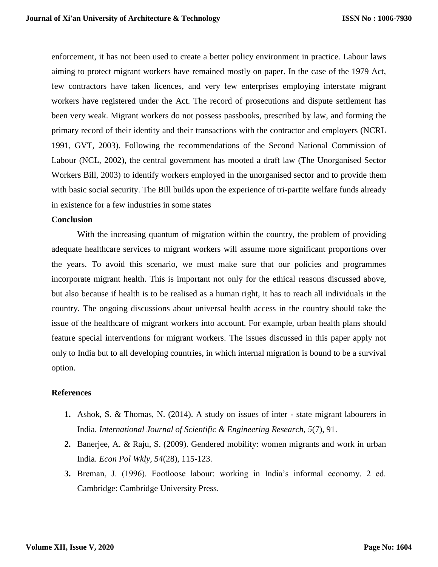enforcement, it has not been used to create a better policy environment in practice. Labour laws aiming to protect migrant workers have remained mostly on paper. In the case of the 1979 Act, few contractors have taken licences, and very few enterprises employing interstate migrant workers have registered under the Act. The record of prosecutions and dispute settlement has been very weak. Migrant workers do not possess passbooks, prescribed by law, and forming the primary record of their identity and their transactions with the contractor and employers (NCRL 1991, GVT, 2003). Following the recommendations of the Second National Commission of Labour (NCL, 2002), the central government has mooted a draft law (The Unorganised Sector Workers Bill, 2003) to identify workers employed in the unorganised sector and to provide them with basic social security. The Bill builds upon the experience of tri-partite welfare funds already in existence for a few industries in some states

#### **Conclusion**

With the increasing quantum of migration within the country, the problem of providing adequate healthcare services to migrant workers will assume more significant proportions over the years. To avoid this scenario, we must make sure that our policies and programmes incorporate migrant health. This is important not only for the ethical reasons discussed above, but also because if health is to be realised as a human right, it has to reach all individuals in the country. The ongoing discussions about universal health access in the country should take the issue of the healthcare of migrant workers into account. For example, urban health plans should feature special interventions for migrant workers. The issues discussed in this paper apply not only to India but to all developing countries, in which internal migration is bound to be a survival option.

### **References**

- **1.** Ashok, S. & Thomas, N. (2014). A study on issues of inter state migrant labourers in India. *International Journal of Scientific & Engineering Research, 5*(7), 91.
- **2.** Banerjee, A. & Raju, S. (2009). Gendered mobility: women migrants and work in urban India. *Econ Pol Wkly, 54*(28), 115-123.
- **3.** Breman, J. (1996). Footloose labour: working in India's informal economy. 2 ed. Cambridge: Cambridge University Press.